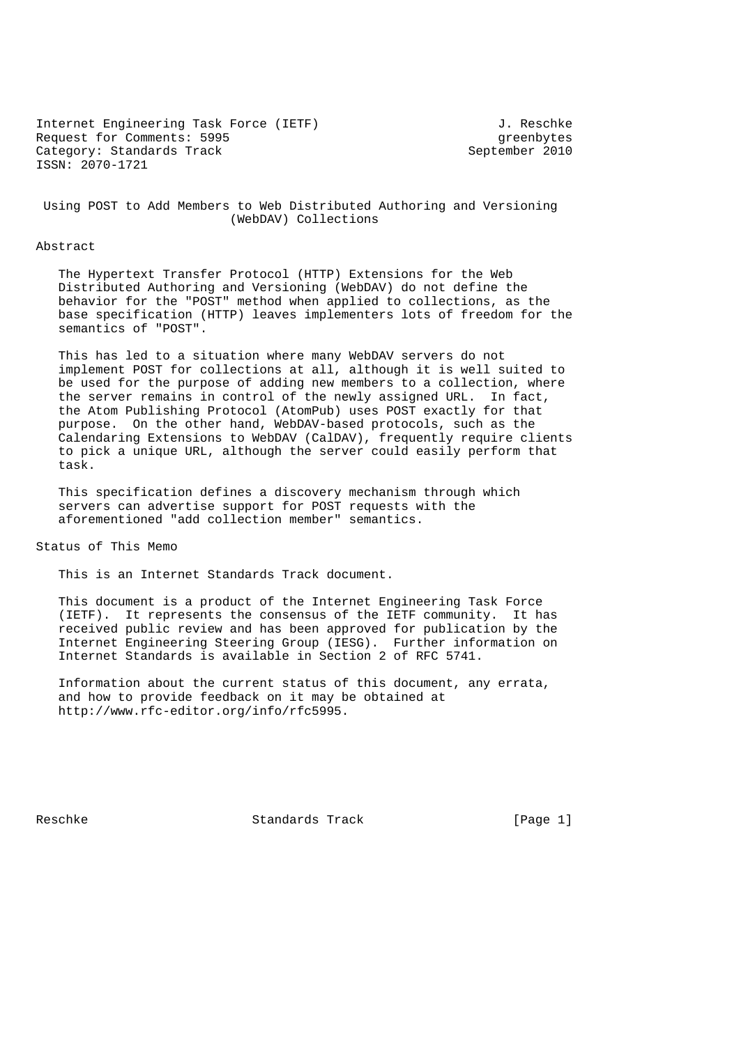Internet Engineering Task Force (IETF) and the settlement of the Search Search Search Search Search Search Search Search Search Search Search Search Search Search Search Search Search Search Search Search Search Search Sea Request for Comments: 5995<br>Category: Standards Track and September 2010 Category: Standards Track ISSN: 2070-1721

 Using POST to Add Members to Web Distributed Authoring and Versioning (WebDAV) Collections

#### Abstract

 The Hypertext Transfer Protocol (HTTP) Extensions for the Web Distributed Authoring and Versioning (WebDAV) do not define the behavior for the "POST" method when applied to collections, as the base specification (HTTP) leaves implementers lots of freedom for the semantics of "POST".

 This has led to a situation where many WebDAV servers do not implement POST for collections at all, although it is well suited to be used for the purpose of adding new members to a collection, where the server remains in control of the newly assigned URL. In fact, the Atom Publishing Protocol (AtomPub) uses POST exactly for that purpose. On the other hand, WebDAV-based protocols, such as the Calendaring Extensions to WebDAV (CalDAV), frequently require clients to pick a unique URL, although the server could easily perform that task.

 This specification defines a discovery mechanism through which servers can advertise support for POST requests with the aforementioned "add collection member" semantics.

Status of This Memo

This is an Internet Standards Track document.

 This document is a product of the Internet Engineering Task Force (IETF). It represents the consensus of the IETF community. It has received public review and has been approved for publication by the Internet Engineering Steering Group (IESG). Further information on Internet Standards is available in Section 2 of RFC 5741.

 Information about the current status of this document, any errata, and how to provide feedback on it may be obtained at http://www.rfc-editor.org/info/rfc5995.

Reschke Standards Track [Page 1]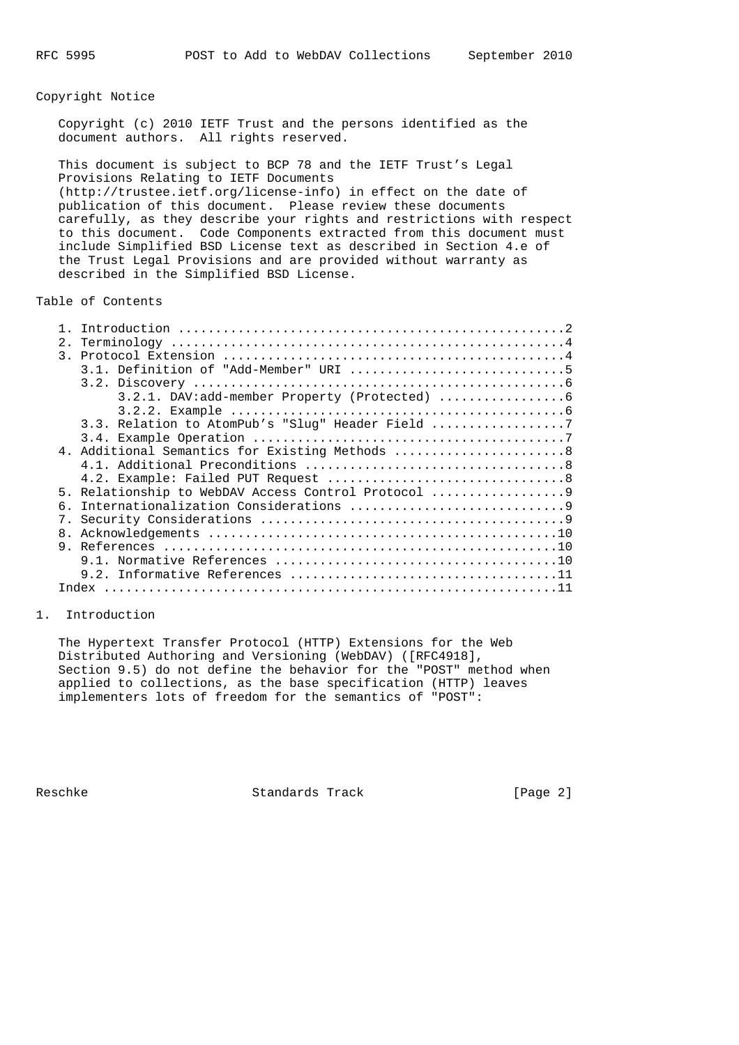## Copyright Notice

 Copyright (c) 2010 IETF Trust and the persons identified as the document authors. All rights reserved.

 This document is subject to BCP 78 and the IETF Trust's Legal Provisions Relating to IETF Documents (http://trustee.ietf.org/license-info) in effect on the date of publication of this document. Please review these documents carefully, as they describe your rights and restrictions with respect to this document. Code Components extracted from this document must include Simplified BSD License text as described in Section 4.e of the Trust Legal Provisions and are provided without warranty as described in the Simplified BSD License.

#### Table of Contents

| 2. |                                                   |
|----|---------------------------------------------------|
|    |                                                   |
|    |                                                   |
|    |                                                   |
|    |                                                   |
|    |                                                   |
|    | 3.3. Relation to AtomPub's "Slug" Header Field    |
|    |                                                   |
|    | 4. Additional Semantics for Existing Methods 8    |
|    |                                                   |
|    |                                                   |
|    | 5. Relationship to WebDAV Access Control Protocol |
|    |                                                   |
|    |                                                   |
|    |                                                   |
|    |                                                   |
|    |                                                   |
|    |                                                   |
|    |                                                   |
|    |                                                   |

### 1. Introduction

 The Hypertext Transfer Protocol (HTTP) Extensions for the Web Distributed Authoring and Versioning (WebDAV) ([RFC4918], Section 9.5) do not define the behavior for the "POST" method when applied to collections, as the base specification (HTTP) leaves implementers lots of freedom for the semantics of "POST":

Reschke Standards Track [Page 2]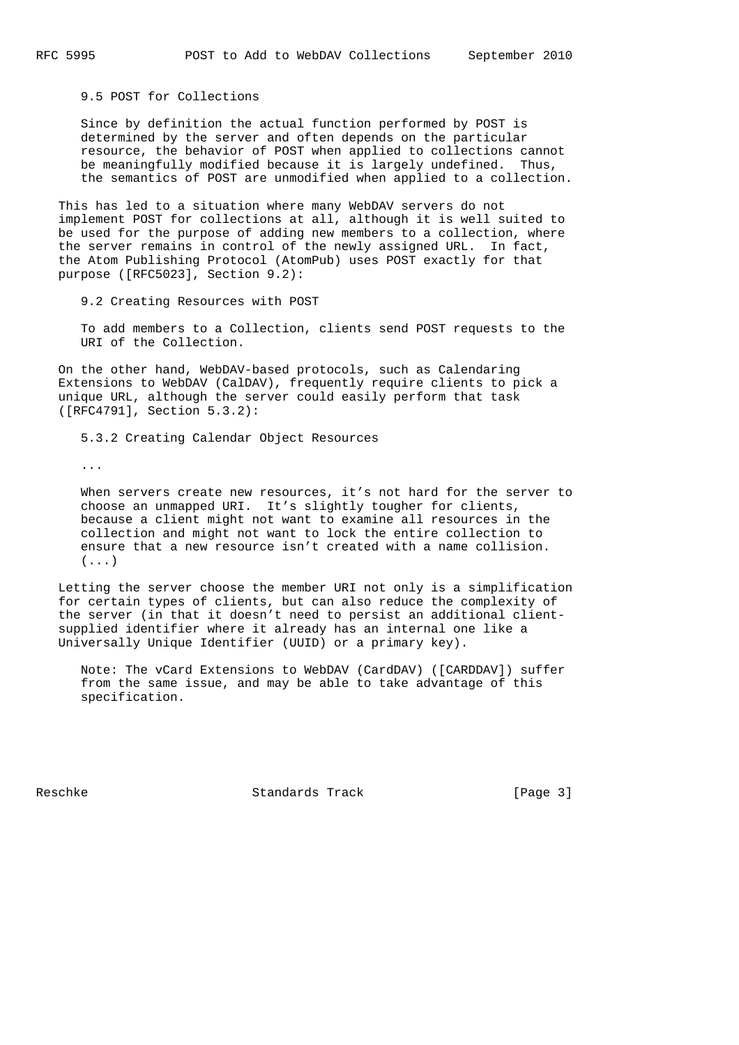9.5 POST for Collections

 Since by definition the actual function performed by POST is determined by the server and often depends on the particular resource, the behavior of POST when applied to collections cannot be meaningfully modified because it is largely undefined. Thus, the semantics of POST are unmodified when applied to a collection.

 This has led to a situation where many WebDAV servers do not implement POST for collections at all, although it is well suited to be used for the purpose of adding new members to a collection, where the server remains in control of the newly assigned URL. In fact, the Atom Publishing Protocol (AtomPub) uses POST exactly for that purpose ([RFC5023], Section 9.2):

9.2 Creating Resources with POST

 To add members to a Collection, clients send POST requests to the URI of the Collection.

 On the other hand, WebDAV-based protocols, such as Calendaring Extensions to WebDAV (CalDAV), frequently require clients to pick a unique URL, although the server could easily perform that task ([RFC4791], Section 5.3.2):

5.3.2 Creating Calendar Object Resources

...

 When servers create new resources, it's not hard for the server to choose an unmapped URI. It's slightly tougher for clients, because a client might not want to examine all resources in the collection and might not want to lock the entire collection to ensure that a new resource isn't created with a name collision.  $( \ldots )$ 

 Letting the server choose the member URI not only is a simplification for certain types of clients, but can also reduce the complexity of the server (in that it doesn't need to persist an additional client supplied identifier where it already has an internal one like a Universally Unique Identifier (UUID) or a primary key).

 Note: The vCard Extensions to WebDAV (CardDAV) ([CARDDAV]) suffer from the same issue, and may be able to take advantage of this specification.

Reschke Standards Track [Page 3]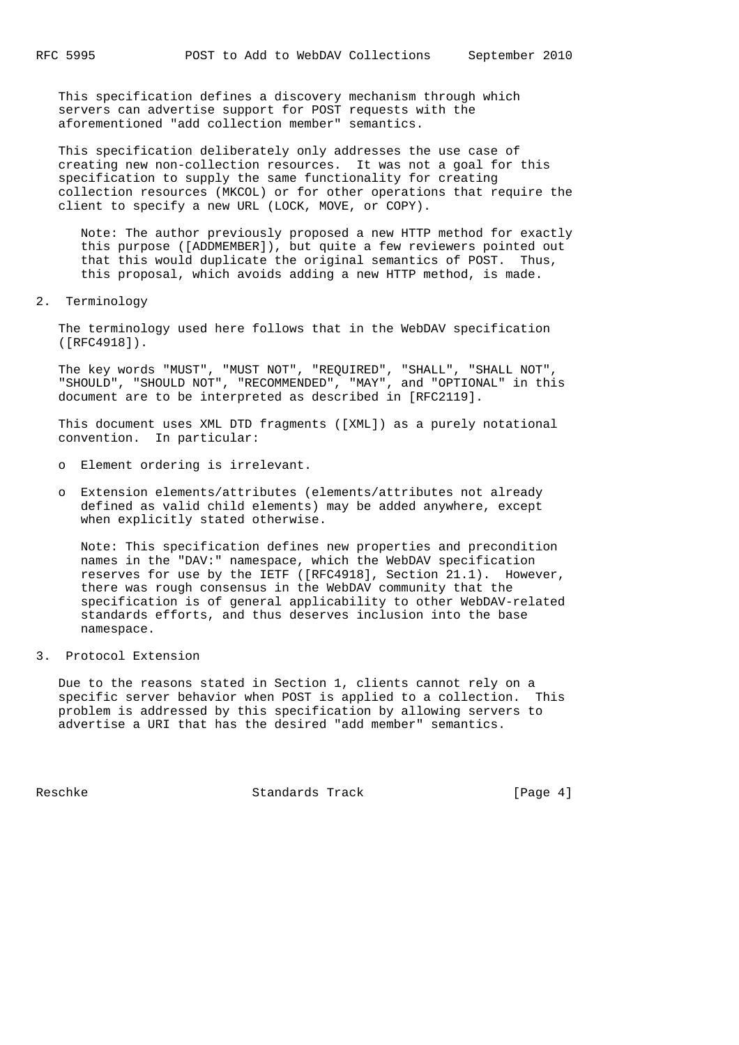This specification defines a discovery mechanism through which servers can advertise support for POST requests with the aforementioned "add collection member" semantics.

 This specification deliberately only addresses the use case of creating new non-collection resources. It was not a goal for this specification to supply the same functionality for creating collection resources (MKCOL) or for other operations that require the client to specify a new URL (LOCK, MOVE, or COPY).

 Note: The author previously proposed a new HTTP method for exactly this purpose ([ADDMEMBER]), but quite a few reviewers pointed out that this would duplicate the original semantics of POST. Thus, this proposal, which avoids adding a new HTTP method, is made.

2. Terminology

 The terminology used here follows that in the WebDAV specification ([RFC4918]).

 The key words "MUST", "MUST NOT", "REQUIRED", "SHALL", "SHALL NOT", "SHOULD", "SHOULD NOT", "RECOMMENDED", "MAY", and "OPTIONAL" in this document are to be interpreted as described in [RFC2119].

 This document uses XML DTD fragments ([XML]) as a purely notational convention. In particular:

- o Element ordering is irrelevant.
- o Extension elements/attributes (elements/attributes not already defined as valid child elements) may be added anywhere, except when explicitly stated otherwise.

 Note: This specification defines new properties and precondition names in the "DAV:" namespace, which the WebDAV specification reserves for use by the IETF ([RFC4918], Section 21.1). However, there was rough consensus in the WebDAV community that the specification is of general applicability to other WebDAV-related standards efforts, and thus deserves inclusion into the base namespace.

3. Protocol Extension

 Due to the reasons stated in Section 1, clients cannot rely on a specific server behavior when POST is applied to a collection. This problem is addressed by this specification by allowing servers to advertise a URI that has the desired "add member" semantics.

Reschke Standards Track [Page 4]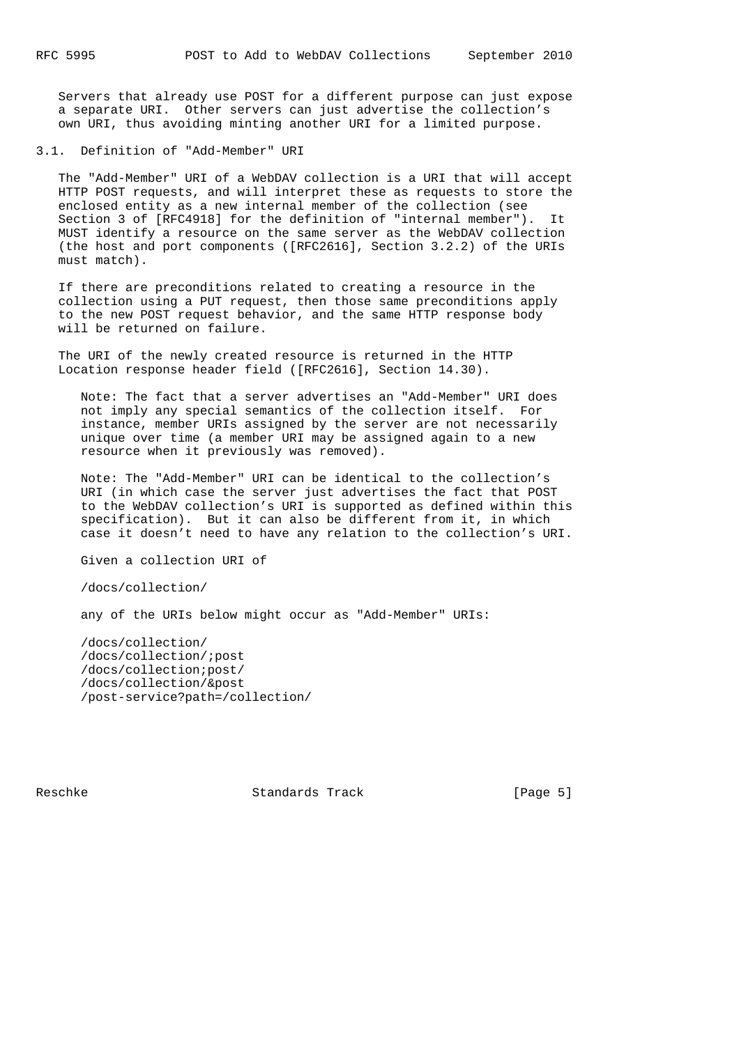Servers that already use POST for a different purpose can just expose a separate URI. Other servers can just advertise the collection's own URI, thus avoiding minting another URI for a limited purpose.

3.1. Definition of "Add-Member" URI

 The "Add-Member" URI of a WebDAV collection is a URI that will accept HTTP POST requests, and will interpret these as requests to store the enclosed entity as a new internal member of the collection (see Section 3 of [RFC4918] for the definition of "internal member"). It MUST identify a resource on the same server as the WebDAV collection (the host and port components ([RFC2616], Section 3.2.2) of the URIs must match).

 If there are preconditions related to creating a resource in the collection using a PUT request, then those same preconditions apply to the new POST request behavior, and the same HTTP response body will be returned on failure.

 The URI of the newly created resource is returned in the HTTP Location response header field ([RFC2616], Section 14.30).

 Note: The fact that a server advertises an "Add-Member" URI does not imply any special semantics of the collection itself. For instance, member URIs assigned by the server are not necessarily unique over time (a member URI may be assigned again to a new resource when it previously was removed).

 Note: The "Add-Member" URI can be identical to the collection's URI (in which case the server just advertises the fact that POST to the WebDAV collection's URI is supported as defined within this specification). But it can also be different from it, in which case it doesn't need to have any relation to the collection's URI.

Given a collection URI of

/docs/collection/

any of the URIs below might occur as "Add-Member" URIs:

 /docs/collection/ /docs/collection/;post /docs/collection;post/ /docs/collection/&post /post-service?path=/collection/

Reschke Standards Track [Page 5]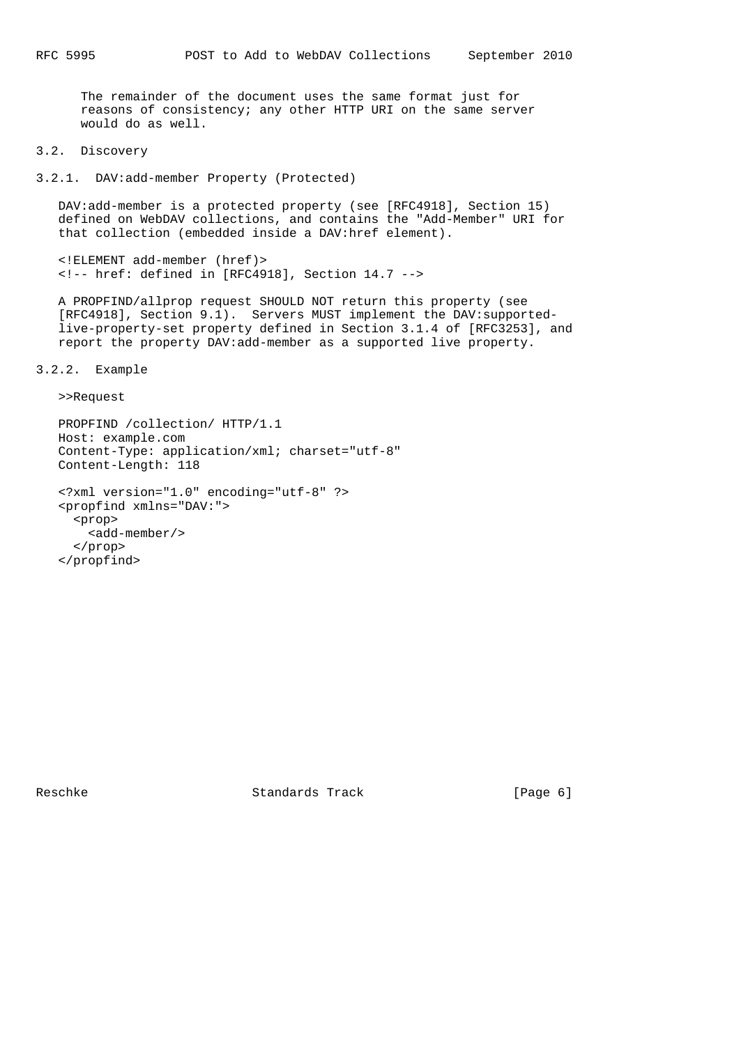The remainder of the document uses the same format just for reasons of consistency; any other HTTP URI on the same server would do as well.

3.2. Discovery

3.2.1. DAV:add-member Property (Protected)

 DAV:add-member is a protected property (see [RFC4918], Section 15) defined on WebDAV collections, and contains the "Add-Member" URI for that collection (embedded inside a DAV:href element).

 <!ELEMENT add-member (href)> <!-- href: defined in [RFC4918], Section 14.7 -->

 A PROPFIND/allprop request SHOULD NOT return this property (see [RFC4918], Section 9.1). Servers MUST implement the DAV:supported live-property-set property defined in Section 3.1.4 of [RFC3253], and report the property DAV:add-member as a supported live property.

3.2.2. Example

>>Request

```
 PROPFIND /collection/ HTTP/1.1
Host: example.com
Content-Type: application/xml; charset="utf-8"
Content-Length: 118
<?xml version="1.0" encoding="utf-8" ?>
<propfind xmlns="DAV:">
  <prop>
   <add-member/>
  </prop>
</propfind>
```
Reschke Standards Track [Page 6]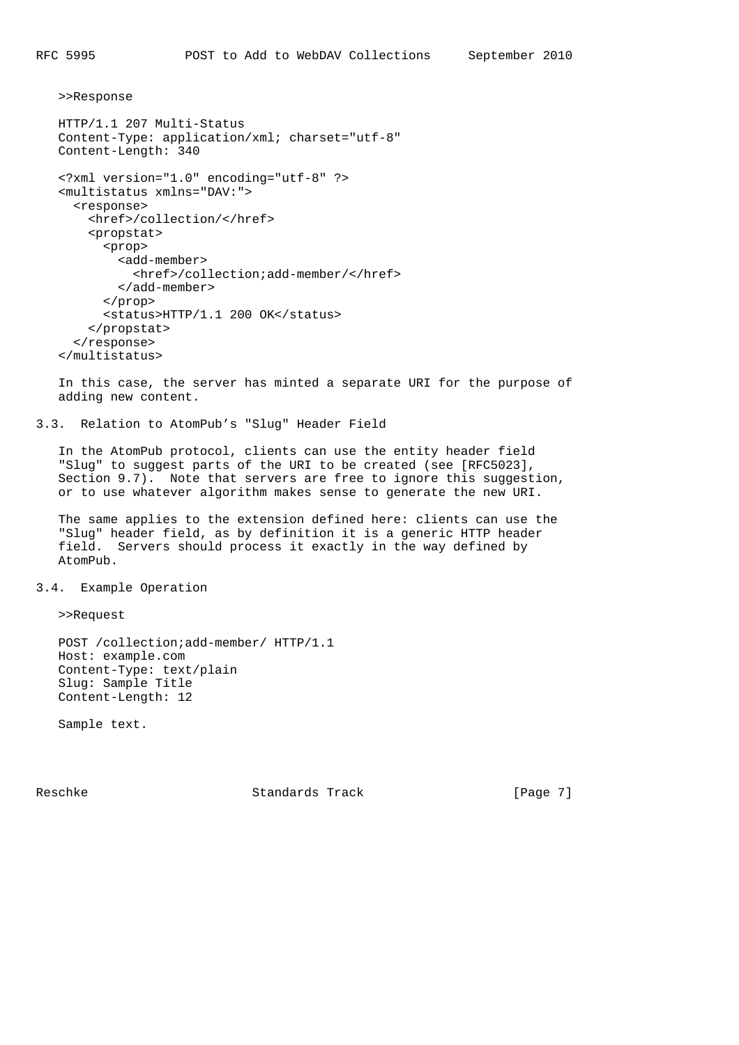>>Response

```
 HTTP/1.1 207 Multi-Status
Content-Type: application/xml; charset="utf-8"
Content-Length: 340
<?xml version="1.0" encoding="utf-8" ?>
<multistatus xmlns="DAV:">
  <response>
    <href>/collection/</href>
    <propstat>
      <prop>
        <add-member>
          <href>/collection;add-member/</href>
        </add-member>
      </prop>
      <status>HTTP/1.1 200 OK</status>
    </propstat>
  </response>
</multistatus>
```
 In this case, the server has minted a separate URI for the purpose of adding new content.

3.3. Relation to AtomPub's "Slug" Header Field

 In the AtomPub protocol, clients can use the entity header field "Slug" to suggest parts of the URI to be created (see [RFC5023], Section 9.7). Note that servers are free to ignore this suggestion, or to use whatever algorithm makes sense to generate the new URI.

 The same applies to the extension defined here: clients can use the "Slug" header field, as by definition it is a generic HTTP header field. Servers should process it exactly in the way defined by AtomPub.

#### 3.4. Example Operation

>>Request

 POST /collection;add-member/ HTTP/1.1 Host: example.com Content-Type: text/plain Slug: Sample Title Content-Length: 12

Sample text.

Reschke Standards Track [Page 7]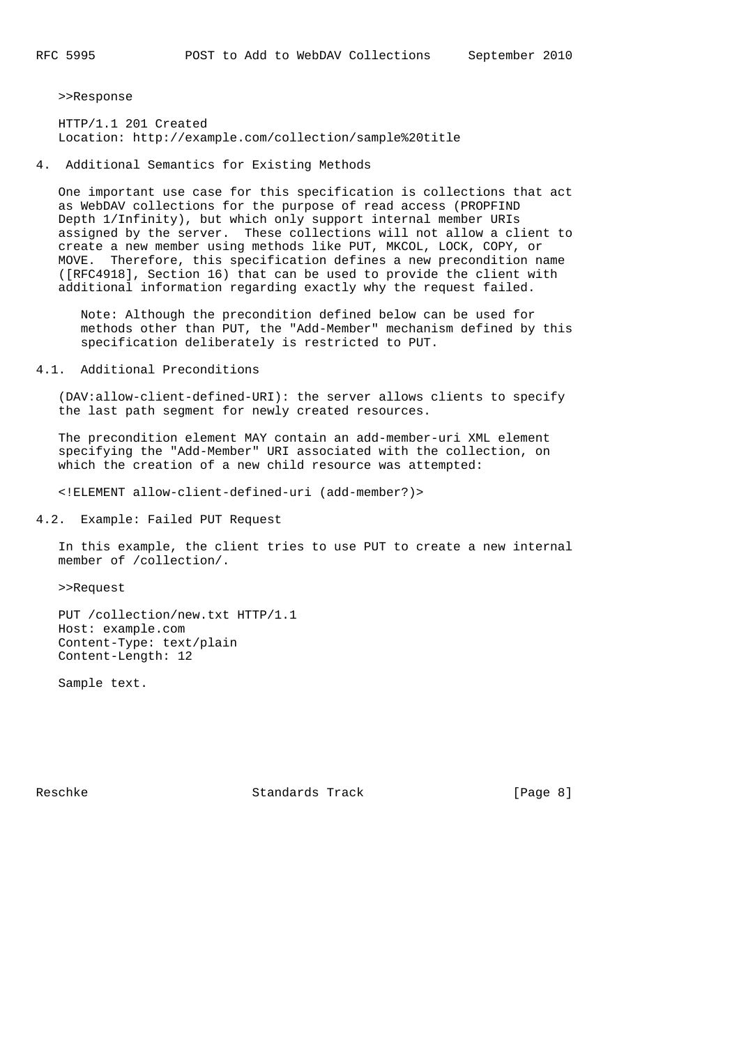>>Response

 HTTP/1.1 201 Created Location: http://example.com/collection/sample%20title

4. Additional Semantics for Existing Methods

 One important use case for this specification is collections that act as WebDAV collections for the purpose of read access (PROPFIND Depth 1/Infinity), but which only support internal member URIs assigned by the server. These collections will not allow a client to create a new member using methods like PUT, MKCOL, LOCK, COPY, or MOVE. Therefore, this specification defines a new precondition name ([RFC4918], Section 16) that can be used to provide the client with additional information regarding exactly why the request failed.

 Note: Although the precondition defined below can be used for methods other than PUT, the "Add-Member" mechanism defined by this specification deliberately is restricted to PUT.

4.1. Additional Preconditions

 (DAV:allow-client-defined-URI): the server allows clients to specify the last path segment for newly created resources.

 The precondition element MAY contain an add-member-uri XML element specifying the "Add-Member" URI associated with the collection, on which the creation of a new child resource was attempted:

<!ELEMENT allow-client-defined-uri (add-member?)>

4.2. Example: Failed PUT Request

 In this example, the client tries to use PUT to create a new internal member of /collection/.

>>Request

 PUT /collection/new.txt HTTP/1.1 Host: example.com Content-Type: text/plain Content-Length: 12

Sample text.

Reschke Standards Track [Page 8]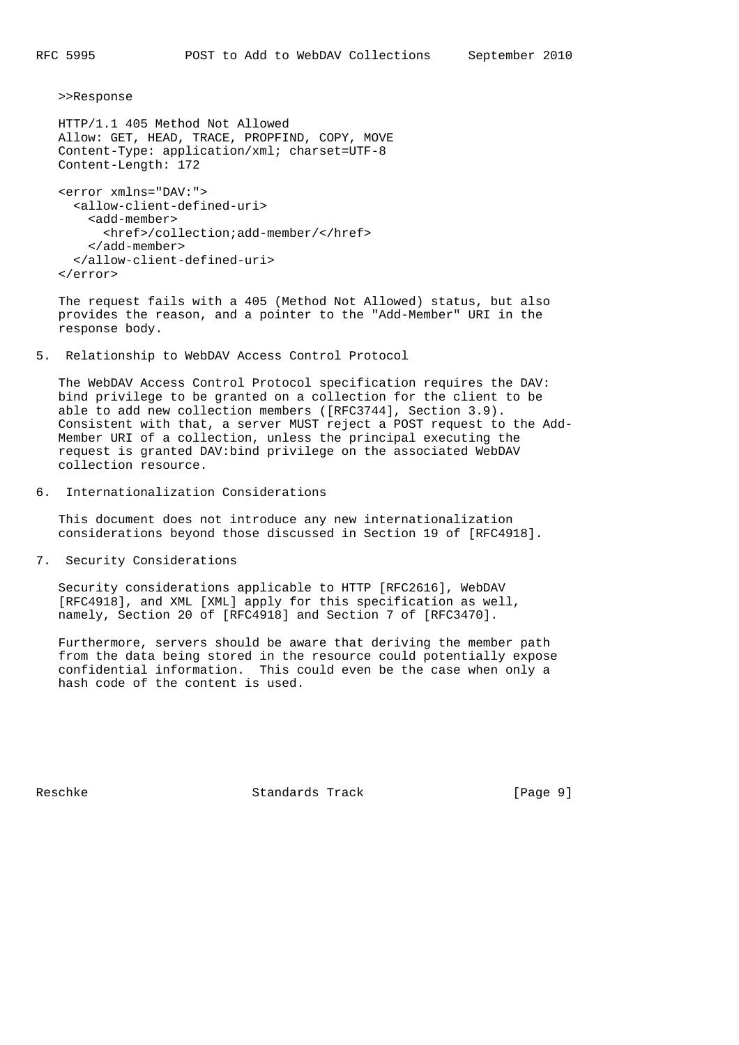>>Response

```
 HTTP/1.1 405 Method Not Allowed
Allow: GET, HEAD, TRACE, PROPFIND, COPY, MOVE
Content-Type: application/xml; charset=UTF-8
Content-Length: 172
```

```
 <error xmlns="DAV:">
 <allow-client-defined-uri>
    <add-member>
      <href>/collection;add-member/</href>
    </add-member>
  </allow-client-defined-uri>
</error>
```
 The request fails with a 405 (Method Not Allowed) status, but also provides the reason, and a pointer to the "Add-Member" URI in the response body.

5. Relationship to WebDAV Access Control Protocol

 The WebDAV Access Control Protocol specification requires the DAV: bind privilege to be granted on a collection for the client to be able to add new collection members ([RFC3744], Section 3.9). Consistent with that, a server MUST reject a POST request to the Add- Member URI of a collection, unless the principal executing the request is granted DAV:bind privilege on the associated WebDAV collection resource.

6. Internationalization Considerations

 This document does not introduce any new internationalization considerations beyond those discussed in Section 19 of [RFC4918].

7. Security Considerations

 Security considerations applicable to HTTP [RFC2616], WebDAV [RFC4918], and XML [XML] apply for this specification as well, namely, Section 20 of [RFC4918] and Section 7 of [RFC3470].

 Furthermore, servers should be aware that deriving the member path from the data being stored in the resource could potentially expose confidential information. This could even be the case when only a hash code of the content is used.

Reschke Standards Track [Page 9]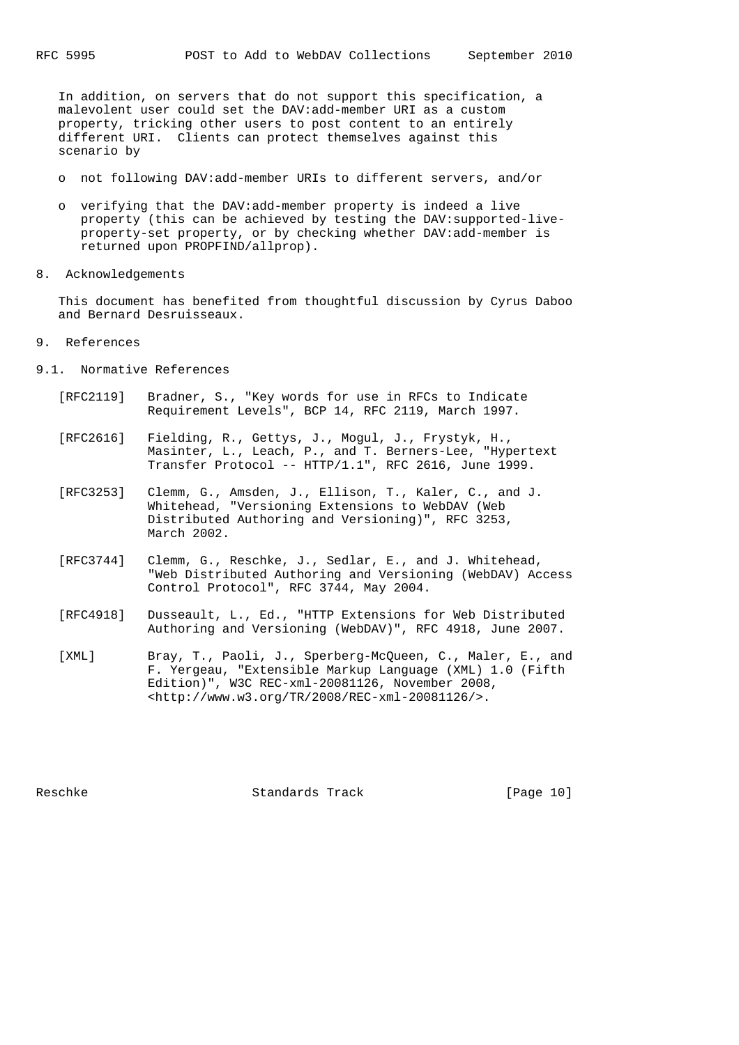In addition, on servers that do not support this specification, a malevolent user could set the DAV:add-member URI as a custom property, tricking other users to post content to an entirely different URI. Clients can protect themselves against this scenario by

- o not following DAV:add-member URIs to different servers, and/or
- o verifying that the DAV:add-member property is indeed a live property (this can be achieved by testing the DAV:supported-live property-set property, or by checking whether DAV:add-member is returned upon PROPFIND/allprop).
- 8. Acknowledgements

 This document has benefited from thoughtful discussion by Cyrus Daboo and Bernard Desruisseaux.

- 9. References
- 9.1. Normative References
	- [RFC2119] Bradner, S., "Key words for use in RFCs to Indicate Requirement Levels", BCP 14, RFC 2119, March 1997.
	- [RFC2616] Fielding, R., Gettys, J., Mogul, J., Frystyk, H., Masinter, L., Leach, P., and T. Berners-Lee, "Hypertext Transfer Protocol -- HTTP/1.1", RFC 2616, June 1999.
	- [RFC3253] Clemm, G., Amsden, J., Ellison, T., Kaler, C., and J. Whitehead, "Versioning Extensions to WebDAV (Web Distributed Authoring and Versioning)", RFC 3253, March 2002.
	- [RFC3744] Clemm, G., Reschke, J., Sedlar, E., and J. Whitehead, "Web Distributed Authoring and Versioning (WebDAV) Access Control Protocol", RFC 3744, May 2004.
	- [RFC4918] Dusseault, L., Ed., "HTTP Extensions for Web Distributed Authoring and Versioning (WebDAV)", RFC 4918, June 2007.
	- [XML] Bray, T., Paoli, J., Sperberg-McQueen, C., Maler, E., and F. Yergeau, "Extensible Markup Language (XML) 1.0 (Fifth Edition)", W3C REC-xml-20081126, November 2008, <http://www.w3.org/TR/2008/REC-xml-20081126/>.

Reschke Standards Track [Page 10]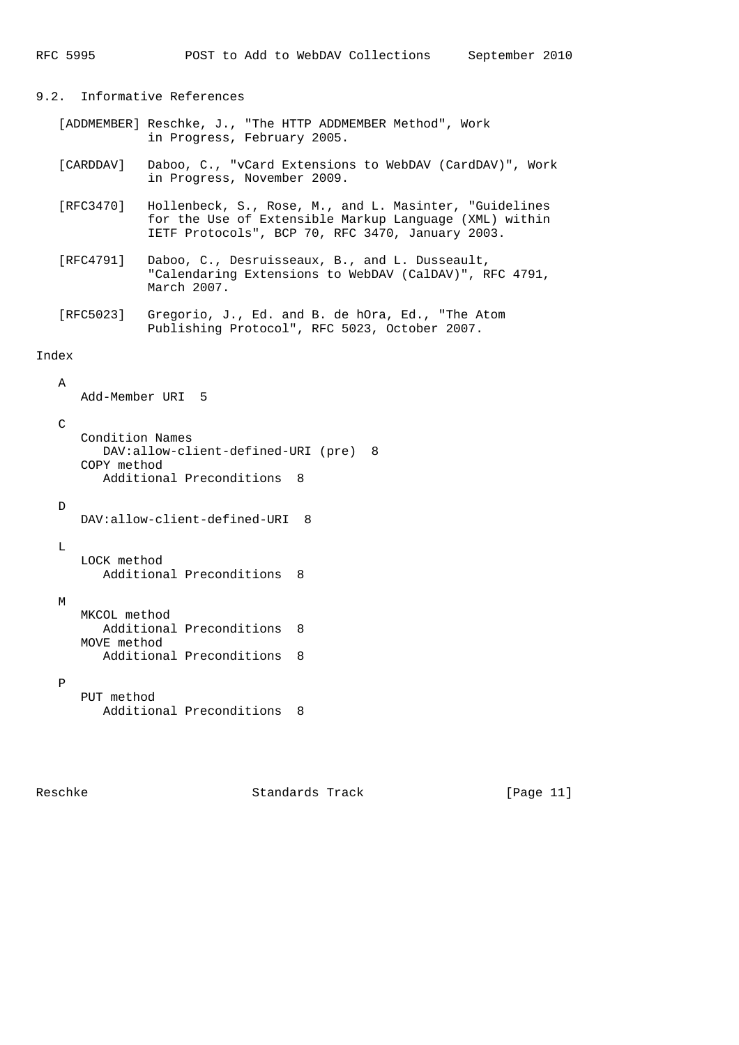# 9.2. Informative References

- [ADDMEMBER] Reschke, J., "The HTTP ADDMEMBER Method", Work in Progress, February 2005.
- [CARDDAV] Daboo, C., "vCard Extensions to WebDAV (CardDAV)", Work in Progress, November 2009.
- [RFC3470] Hollenbeck, S., Rose, M., and L. Masinter, "Guidelines for the Use of Extensible Markup Language (XML) within IETF Protocols", BCP 70, RFC 3470, January 2003.
- [RFC4791] Daboo, C., Desruisseaux, B., and L. Dusseault, "Calendaring Extensions to WebDAV (CalDAV)", RFC 4791, March 2007.
- [RFC5023] Gregorio, J., Ed. and B. de hOra, Ed., "The Atom Publishing Protocol", RFC 5023, October 2007.

## Index

 A Add-Member URI 5

```
 C
   Condition Names
     DAV:allow-client-defined-URI (pre) 8
   COPY method
     Additional Preconditions 8
D
```

```
DAV:allow-client-defined-URI 8
```

```
 LOCK method
  Additional Preconditions 8
```
M

 $\mathbb L$ 

```
 MKCOL method
  Additional Preconditions 8
MOVE method
  Additional Preconditions 8
```
P

```
 PUT method
  Additional Preconditions 8
```
Reschke Standards Track [Page 11]